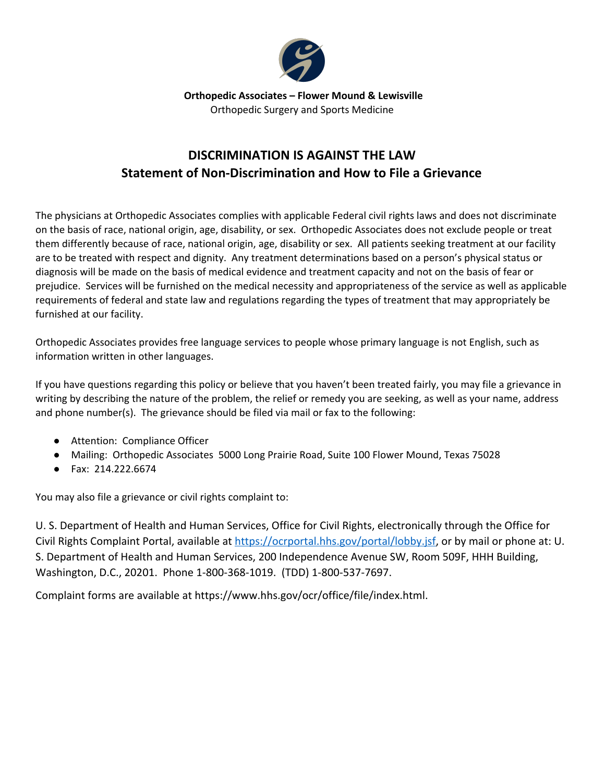

 **Orthopedic Associates – Flower Mound & Lewisville** Orthopedic Surgery and Sports Medicine

## **DISCRIMINATION IS AGAINST THE LAW Statement of Non-Discrimination and How to File a Grievance**

The physicians at Orthopedic Associates complies with applicable Federal civil rights laws and does not discriminate on the basis of race, national origin, age, disability, or sex. Orthopedic Associates does not exclude people or treat them differently because of race, national origin, age, disability or sex. All patients seeking treatment at our facility are to be treated with respect and dignity. Any treatment determinations based on a person's physical status or diagnosis will be made on the basis of medical evidence and treatment capacity and not on the basis of fear or prejudice. Services will be furnished on the medical necessity and appropriateness of the service as well as applicable requirements of federal and state law and regulations regarding the types of treatment that may appropriately be furnished at our facility.

Orthopedic Associates provides free language services to people whose primary language is not English, such as information written in other languages.

If you have questions regarding this policy or believe that you haven't been treated fairly, you may file a grievance in writing by describing the nature of the problem, the relief or remedy you are seeking, as well as your name, address and phone number(s). The grievance should be filed via mail or fax to the following:

- Attention: Compliance Officer
- Mailing: Orthopedic Associates 5000 Long Prairie Road, Suite 100 Flower Mound, Texas 75028
- Fax: 214.222.6674

You may also file a grievance or civil rights complaint to:

U. S. Department of Health and Human Services, Office for Civil Rights, electronically through the Office for Civil Rights Complaint Portal, available at [https://ocrportal.hhs.gov/portal/lobby.jsf,](https://ocrportal.hhs.gov/portal/lobby.jsf) or by mail or phone at: U. S. Department of Health and Human Services, 200 Independence Avenue SW, Room 509F, HHH Building, Washington, D.C., 20201. Phone 1-800-368-1019. (TDD) 1-800-537-7697.

Complaint forms are available at https://www.hhs.gov/ocr/office/file/index.html.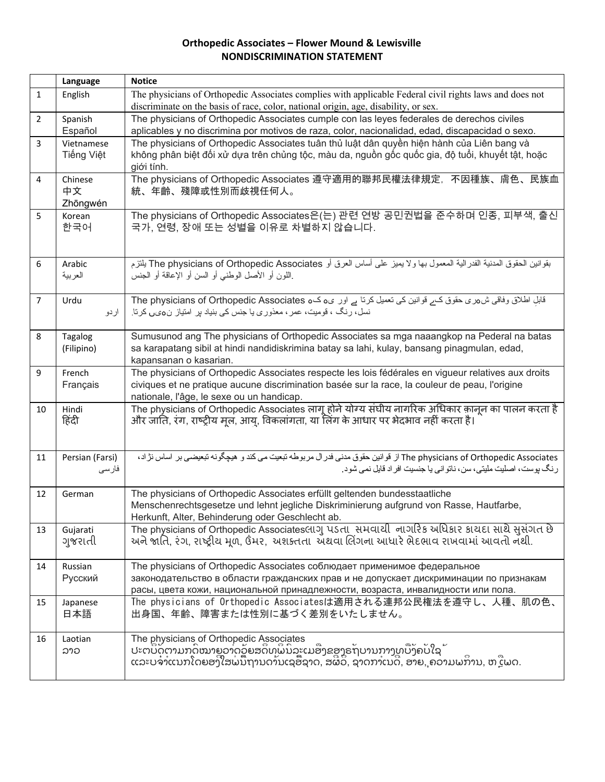## **Orthopedic Associates – Flower Mound & Lewisville NONDISCRIMINATION STATEMENT**

|                | Language                  | <b>Notice</b>                                                                                                                                                                                                                                                                                |
|----------------|---------------------------|----------------------------------------------------------------------------------------------------------------------------------------------------------------------------------------------------------------------------------------------------------------------------------------------|
| $\mathbf{1}$   | English                   | The physicians of Orthopedic Associates complies with applicable Federal civil rights laws and does not                                                                                                                                                                                      |
|                |                           | discriminate on the basis of race, color, national origin, age, disability, or sex.                                                                                                                                                                                                          |
| $\overline{2}$ | Spanish<br>Español        | The physicians of Orthopedic Associates cumple con las leyes federales de derechos civiles<br>aplicables y no discrimina por motivos de raza, color, nacionalidad, edad, discapacidad o sexo.                                                                                                |
| 3              | Vietnamese<br>Tiếng Việt  | The physicians of Orthopedic Associates tuân thủ luật dân quyền hiện hành của Liên bang và<br>không phân biệt đối xử dựa trên chủng tộc, màu da, nguồn gốc quốc gia, độ tuổi, khuyết tật, hoặc<br>giới tính.                                                                                 |
| 4              | Chinese<br>中文<br>Zhōngwén | The physicians of Orthopedic Associates 遵守適用的聯邦民權法律規定, 不因種族、膚色、民族血<br>統、年齡、殘障或性別而歧視任何人。                                                                                                                                                                                                      |
| 5              | Korean<br>한국어             | The physicians of Orthopedic Associates은(는) 관련 연방 공민권법을 준수하며 인종, 피부색, 출신<br>국가, 연령, 장애 또는 성별을 이유로 차별하지 않습니다.                                                                                                                                                                                 |
| 6              | Arabic<br>العربية         | بقوانين الحقوق الممننية الفدر الية المعمول بها ولا يميز على أساس العرق أو The physicians of Orthopedic Associates يلتزم<br>اللون أو الأصل الوطنبي أو السن أو الإعاقة أو الجنس                                                                                                                |
| $\overline{7}$ | Urdu<br>اردو              | قابل اطلاق وفاقی ش مری حقوق کے فوانین کی تعمیل کرتا ہے اور ی مک The physicians of Orthopedic Associates<br>نسل، رنگ ، قومیت، عمر ، معذوری یا جنس کی بنیاد پر امتیاز ن0یں کرنا                                                                                                                |
| 8              | Tagalog<br>(Filipino)     | Sumusunod ang The physicians of Orthopedic Associates sa mga naaangkop na Pederal na batas<br>sa karapatang sibil at hindi nandidiskrimina batay sa lahi, kulay, bansang pinagmulan, edad,<br>kapansanan o kasarian.                                                                         |
| 9              | French<br>Français        | The physicians of Orthopedic Associates respecte les lois fédérales en vigueur relatives aux droits<br>civiques et ne pratique aucune discrimination basée sur la race, la couleur de peau, l'origine<br>nationale, l'âge, le sexe ou un handicap.                                           |
| 10             | Hindi<br>हिंदी            | The physicians of Orthopedic Associates लागू होने योग्य संघीय नागरिक अधिकार क़ानून का पालन करता है<br>और जाति, रंग, राष्ट्रीय मूल, आयु, विकलांगता, या लिंग के आधार पर भेदभाव नहीं करता है।                                                                                                   |
| 11             | Persian (Farsi)<br>فارسى  | The physicians of Orthopedic Associates از قوانين حقوق مدني فدر ال مربوطه تبعيت مي كند و  هيچگونه تبعيضي بر  اساس نژ اد ،<br>رنگ بوست، اصلیت ملیتی، سن، ناتو انی یا جنسیت افر اد قایل نمی شود.                                                                                               |
| 12             | German                    | The physicians of Orthopedic Associates erfüllt geltenden bundesstaatliche<br>Menschenrechtsgesetze und lehnt jegliche Diskriminierung aufgrund von Rasse, Hautfarbe,<br>Herkunft, Alter, Behinderung oder Geschlecht ab.                                                                    |
| 13             | Gujarati<br>ગુજરાતી       | The physicians of Orthopedic Associates લાગુ પડતા સમવાથી નાગરિક અધિકાર કાયદા સાથે સુસંગત છે<br>અને જાતિ, રંગ, રાષ્ટ્રીય મૂળ, ઉંમર, અશક્તતા અંથવા લિંગના આધારે ભેદભાવ રાખવામાં આવતો નૅથી.                                                                                                     |
| 14             | Russian<br>Русский        | The physicians of Orthopedic Associates соблюдает применимое федеральное<br>законодательство в области гражданских прав и не допускает дискриминации по признакам<br>расы, цвета кожи, национальной принадлежности, возраста, инвалидности или пола.                                         |
| 15             | Japanese<br>日本語           | The physicians of Orthopedic Associatesは適用される連邦公民権法を遵守し、人種、肌の色、<br>出身国、年齢、障害または性別に基づく差別をいたしません。                                                                                                                                                                                              |
| 16             | Laotian<br>ລາວ            | The physicians of Orthopedic Associates<br>ປະຕບັດຕາມກດໝາຍວາດວັຍສຸດທິພົນລະເມອີງຂອງຣຖບານກາງທ <sup>ີ</sup> ບັງຄບໃຊ້<br>ແລະບຸລາແນວໂດຍອ <sup>ີງ</sup> ອຸປະໂຫຼວຍ 5 ແລະ ແມ່ນອີງຂອງຣຖບານກາງທ <sup>ີ</sup> ບັງຄບໃຊ້<br>ແລະບຈ່າແນກໂດຍອງໃສພ່ນົຖານດາ້ນເຊອື້ຊາດ, ສຜີວິ, ຊາດກາເນດີ, ອາຍ, ຄວາມພການ, ຫຼືເພດ. |